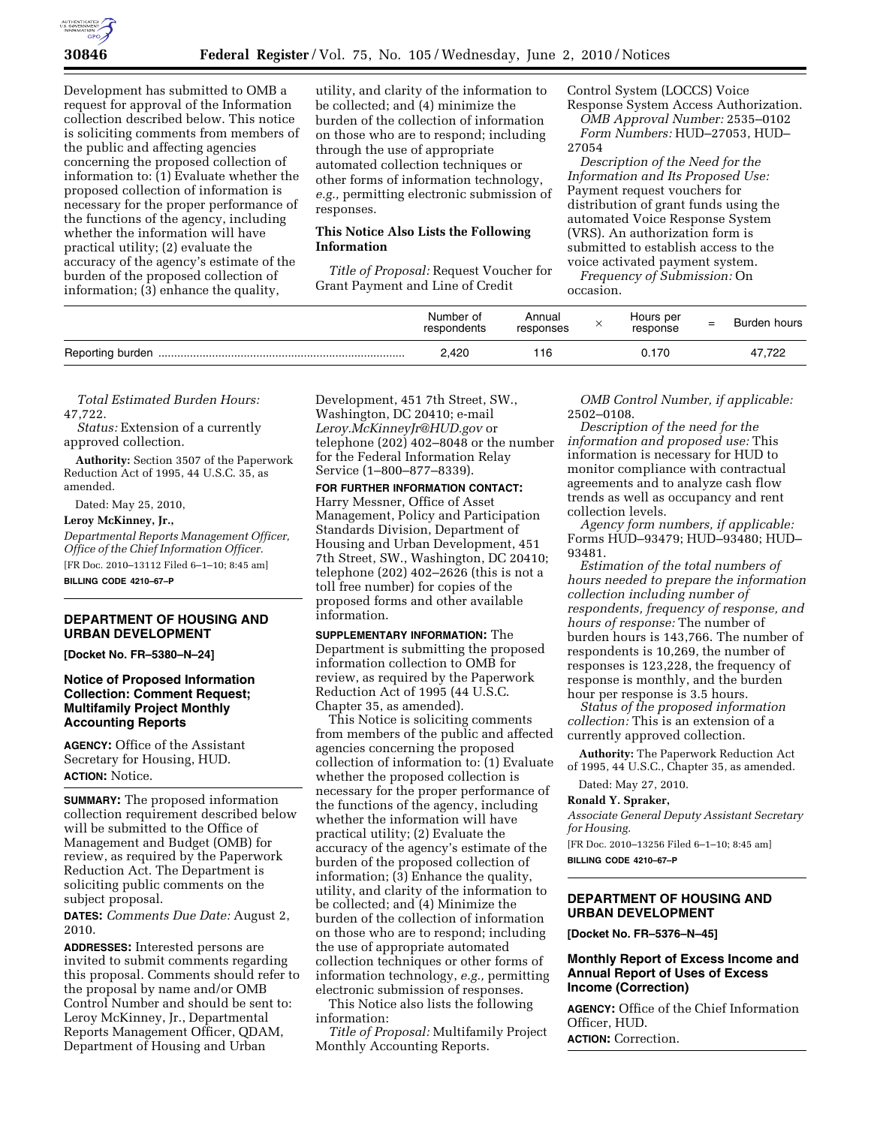

Development has submitted to OMB a request for approval of the Information collection described below. This notice is soliciting comments from members of the public and affecting agencies concerning the proposed collection of information to: (1) Evaluate whether the proposed collection of information is necessary for the proper performance of the functions of the agency, including whether the information will have practical utility; (2) evaluate the accuracy of the agency's estimate of the burden of the proposed collection of information; (3) enhance the quality,

utility, and clarity of the information to be collected; and (4) minimize the burden of the collection of information on those who are to respond; including through the use of appropriate automated collection techniques or other forms of information technology, *e.g.,* permitting electronic submission of responses.

### **This Notice Also Lists the Following Information**

*Title of Proposal:* Request Voucher for Grant Payment and Line of Credit

Control System (LOCCS) Voice Response System Access Authorization. *OMB Approval Number:* 2535–0102

*Form Numbers:* HUD–27053, HUD– 27054

*Description of the Need for the Information and Its Proposed Use:*  Payment request vouchers for distribution of grant funds using the automated Voice Response System (VRS). An authorization form is submitted to establish access to the voice activated payment system.

*Frequency of Submission:* On occasion.

| Number of<br>respondents | Annual<br>responses | Hours per<br>response | $\overline{\phantom{m}}$<br>- | Burden hours |
|--------------------------|---------------------|-----------------------|-------------------------------|--------------|
| 2,420                    |                     | 0.170                 |                               | 47,722       |

*Total Estimated Burden Hours:*  47,722.

*Status:* Extension of a currently approved collection.

**Authority:** Section 3507 of the Paperwork Reduction Act of 1995, 44 U.S.C. 35, as amended.

Dated: May 25, 2010,

#### **Leroy McKinney, Jr.,**

*Departmental Reports Management Officer, Office of the Chief Information Officer.*  [FR Doc. 2010–13112 Filed 6–1–10; 8:45 am]

**BILLING CODE 4210–67–P** 

# **DEPARTMENT OF HOUSING AND URBAN DEVELOPMENT**

**[Docket No. FR–5380–N–24]** 

### **Notice of Proposed Information Collection: Comment Request; Multifamily Project Monthly Accounting Reports**

**AGENCY:** Office of the Assistant Secretary for Housing, HUD. **ACTION:** Notice.

**SUMMARY:** The proposed information collection requirement described below will be submitted to the Office of Management and Budget (OMB) for review, as required by the Paperwork Reduction Act. The Department is soliciting public comments on the subject proposal.

**DATES:** *Comments Due Date:* August 2, 2010.

**ADDRESSES:** Interested persons are invited to submit comments regarding this proposal. Comments should refer to the proposal by name and/or OMB Control Number and should be sent to: Leroy McKinney, Jr., Departmental Reports Management Officer, QDAM, Department of Housing and Urban

Development, 451 7th Street, SW., Washington, DC 20410; e-mail *Leroy.McKinneyJr@HUD.gov* or telephone (202) 402–8048 or the number for the Federal Information Relay Service (1–800–877–8339).

**FOR FURTHER INFORMATION CONTACT:** 

Harry Messner, Office of Asset Management, Policy and Participation Standards Division, Department of Housing and Urban Development, 451 7th Street, SW., Washington, DC 20410; telephone (202) 402–2626 (this is not a toll free number) for copies of the proposed forms and other available information.

**SUPPLEMENTARY INFORMATION:** The Department is submitting the proposed information collection to OMB for review, as required by the Paperwork Reduction Act of 1995 (44 U.S.C. Chapter 35, as amended).

This Notice is soliciting comments from members of the public and affected agencies concerning the proposed collection of information to: (1) Evaluate whether the proposed collection is necessary for the proper performance of the functions of the agency, including whether the information will have practical utility; (2) Evaluate the accuracy of the agency's estimate of the burden of the proposed collection of information; (3) Enhance the quality, utility, and clarity of the information to be collected; and (4) Minimize the burden of the collection of information on those who are to respond; including the use of appropriate automated collection techniques or other forms of information technology, *e.g.,* permitting electronic submission of responses.

This Notice also lists the following information:

*Title of Proposal:* Multifamily Project Monthly Accounting Reports.

*OMB Control Number, if applicable:*  2502–0108.

*Description of the need for the information and proposed use:* This information is necessary for HUD to monitor compliance with contractual agreements and to analyze cash flow trends as well as occupancy and rent collection levels.

*Agency form numbers, if applicable:*  Forms HUD–93479; HUD–93480; HUD– 93481.

*Estimation of the total numbers of hours needed to prepare the information collection including number of respondents, frequency of response, and hours of response:* The number of burden hours is 143,766. The number of respondents is 10,269, the number of responses is 123,228, the frequency of response is monthly, and the burden hour per response is 3.5 hours.

*Status of the proposed information collection:* This is an extension of a currently approved collection.

**Authority:** The Paperwork Reduction Act of 1995, 44 U.S.C., Chapter 35, as amended.

Dated: May 27, 2010.

**Ronald Y. Spraker,** 

*Associate General Deputy Assistant Secretary for Housing.* 

[FR Doc. 2010–13256 Filed 6–1–10; 8:45 am] **BILLING CODE 4210–67–P** 

# **DEPARTMENT OF HOUSING AND URBAN DEVELOPMENT**

**[Docket No. FR–5376–N–45]** 

# **Monthly Report of Excess Income and Annual Report of Uses of Excess Income (Correction)**

**AGENCY:** Office of the Chief Information Officer, HUD.

**ACTION:** Correction.